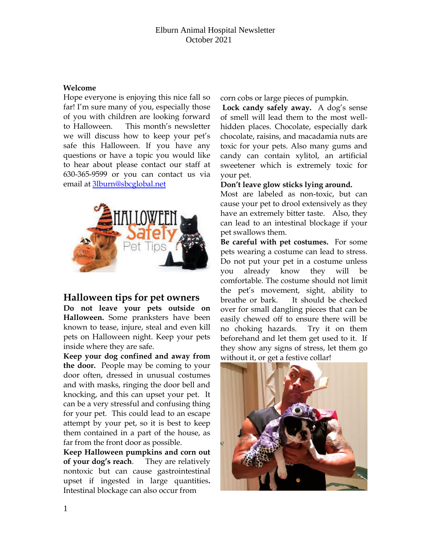## **Welcome**

Hope everyone is enjoying this nice fall so far! I'm sure many of you, especially those of you with children are looking forward to Halloween. This month's newsletter we will discuss how to keep your pet's safe this Halloween. If you have any questions or have a topic you would like to hear about please contact our staff at 630-365-9599 or you can contact us via email at [3lburn@sbcglobal.net](mailto:3lburn@sbcglobal.net) 



## **Halloween tips for pet owners**

**Do not leave your pets outside on Halloween.** Some pranksters have been known to tease, injure, steal and even kill pets on Halloween night. Keep your pets inside where they are safe.

**Keep your dog confined and away from the door.** People may be coming to your door often, dressed in unusual costumes and with masks, ringing the door bell and knocking, and this can upset your pet. It can be a very stressful and confusing thing for your pet. This could lead to an escape attempt by your pet, so it is best to keep them contained in a part of the house, as far from the front door as possible.

**Keep Halloween pumpkins and corn out of your dog's reach**. They are relatively nontoxic but can cause gastrointestinal upset if ingested in large quantities**.**  Intestinal blockage can also occur from

corn cobs or large pieces of pumpkin.

**Lock candy safely away.** A dog's sense of smell will lead them to the most wellhidden places. Chocolate, especially dark chocolate, raisins, and macadamia nuts are toxic for your pets. Also many gums and candy can contain xylitol, an artificial sweetener which is extremely toxic for your pet.

**Don't leave glow sticks lying around.** 

Most are labeled as non-toxic, but can cause your pet to drool extensively as they have an extremely bitter taste. Also, they can lead to an intestinal blockage if your pet swallows them.

**Be careful with pet costumes.** For some pets wearing a costume can lead to stress. Do not put your pet in a costume unless you already know they will be comfortable. The costume should not limit the pet's movement, sight, ability to breathe or bark. It should be checked over for small dangling pieces that can be easily chewed off to ensure there will be no choking hazards. Try it on them beforehand and let them get used to it. If they show any signs of stress, let them go without it, or get a festive collar!